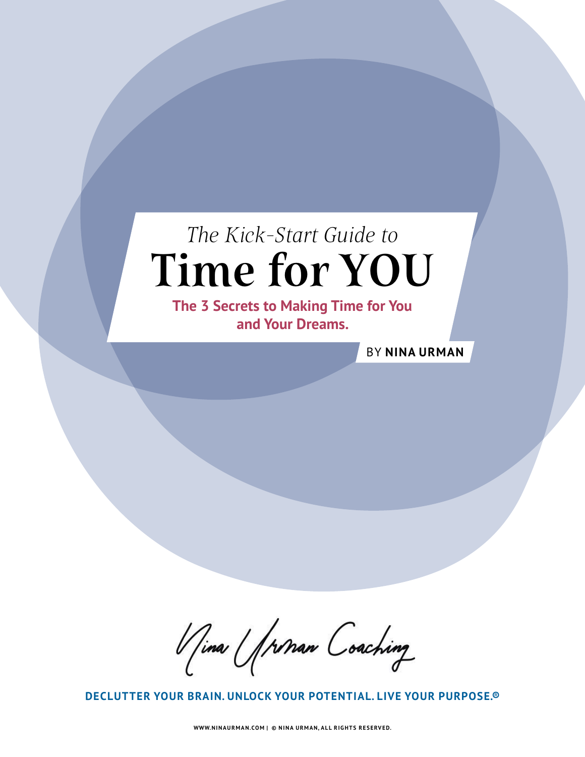## The Kick-Start Guide to Time for YOU

**The 3 Secrets to Making Time for You and Your Dreams.**

BY **NINA URMAN**

Vina Unnan Coaching

**DECLUTTER YOUR BRAIN. UNLOCK YOUR POTENTIAL. LIVE YOUR PURPOSE.®**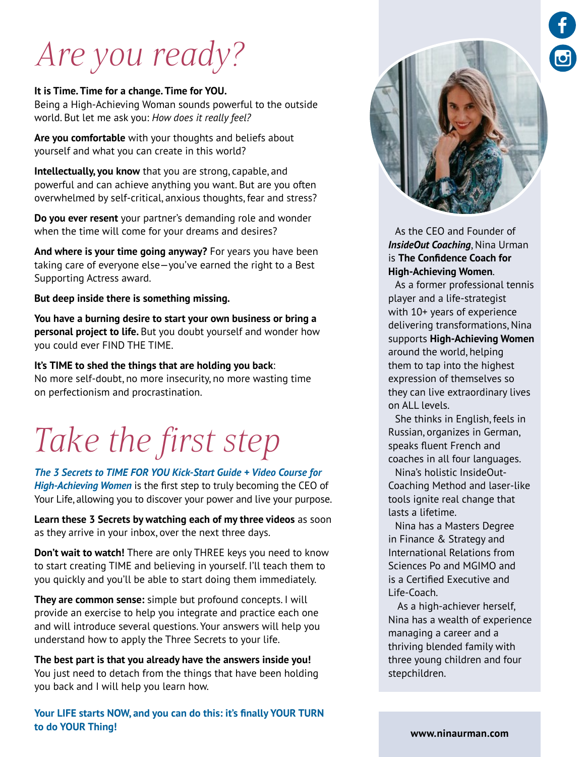# Are you ready?

#### **It is Time. Time for a change. Time for YOU.**

Being a High-Achieving Woman sounds powerful to the outside world. But let me ask you: *How does it really feel?*

**Are you comfortable** with your thoughts and beliefs about yourself and what you can create in this world?

**Intellectually, you know** that you are strong, capable, and powerful and can achieve anything you want. But are you often overwhelmed by self-critical, anxious thoughts, fear and stress?

**Do you ever resent** your partner's demanding role and wonder when the time will come for your dreams and desires?

**And where is your time going anyway?** For years you have been taking care of everyone else—you've earned the right to a Best Supporting Actress award.

**But deep inside there is something missing.**

**You have a burning desire to start your own business or bring a personal project to life.** But you doubt yourself and wonder how you could ever FIND THE TIME.

**It's TIME to shed the things that are holding you back**: No more self-doubt, no more insecurity, no more wasting time on perfectionism and procrastination.

# Take the first step

*The 3 Secrets to TIME FOR YOU Kick-Start Guide + Video Course for High-Achieving Women* is the first step to truly becoming the CEO of Your Life, allowing you to discover your power and live your purpose.

**Learn these 3 Secrets by watching each of my three videos** as soon as they arrive in your inbox, over the next three days.

**Don't wait to watch!** There are only THREE keys you need to know to start creating TIME and believing in yourself. I'll teach them to you quickly and you'll be able to start doing them immediately.

**They are common sense:** simple but profound concepts. I will provide an exercise to help you integrate and practice each one and will introduce several questions. Your answers will help you understand how to apply the Three Secrets to your life.

**The best part is that you already have the answers inside you!**  You just need to detach from the things that have been holding you back and I will help you learn how.

**Your LIFE starts NOW, and you can do this: it's finally YOUR TURN to do YOUR Thing!**



As the CEO and Founder of *InsideOut Coaching*, Nina Urman is **The Confidence Coach for High-Achieving Women**.

As a former professional tennis player and a life-strategist with 10+ years of experience delivering transformations, Nina supports **High-Achieving Women** around the world, helping them to tap into the highest expression of themselves so they can live extraordinary lives on ALL levels.

She thinks in English, feels in Russian, organizes in German, speaks fluent French and coaches in all four languages.

Nina's holistic InsideOut-Coaching Method and laser-like tools ignite real change that lasts a lifetime.

Nina has a Masters Degree in Finance & Strategy and International Relations from Sciences Po and MGIMO and is a Certified Executive and Life-Coach.

 As a high-achiever herself, Nina has a wealth of experience managing a career and a thriving blended family with three young children and four stepchildren.